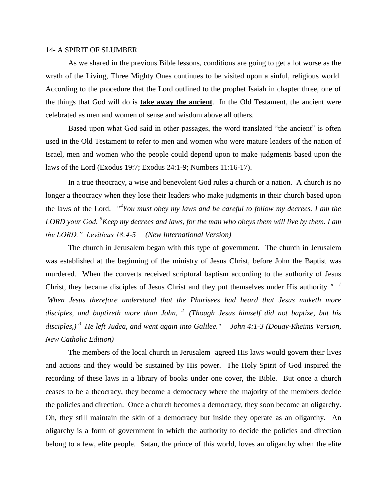## 14- A SPIRIT OF SLUMBER

As we shared in the previous Bible lessons, conditions are going to get a lot worse as the wrath of the Living, Three Mighty Ones continues to be visited upon a sinful, religious world. According to the procedure that the Lord outlined to the prophet Isaiah in chapter three, one of the things that God will do is **take away the ancient**. In the Old Testament, the ancient were celebrated as men and women of sense and wisdom above all others.

Based upon what God said in other passages, the word translated "the ancient" is often used in the Old Testament to refer to men and women who were mature leaders of the nation of Israel, men and women who the people could depend upon to make judgments based upon the laws of the Lord (Exodus 19:7; Exodus 24:1-9; Numbers 11:16-17).

In a true theocracy, a wise and benevolent God rules a church or a nation. A church is no longer a theocracy when they lose their leaders who make judgments in their church based upon the laws of the Lord. *" 4 You must obey my laws and be careful to follow my decrees. I am the LORD your God. <sup>5</sup>Keep my decrees and laws, for the man who obeys them will live by them. I am the LORD." Leviticus 18:4-5 (New International Version)* 

The church in Jerusalem began with this type of government. The church in Jerusalem was established at the beginning of the ministry of Jesus Christ, before John the Baptist was murdered. When the converts received scriptural baptism according to the authority of Jesus Christ, they became disciples of Jesus Christ and they put themselves under His authority *" <sup>1</sup> When Jesus therefore understood that the Pharisees had heard that Jesus maketh more disciples, and baptizeth more than John, <sup>2</sup>(Though Jesus himself did not baptize, but his disciples,) <sup>3</sup>He left Judea, and went again into Galilee." John 4:1-3 (Douay-Rheims Version, New Catholic Edition)*

The members of the local church in Jerusalem agreed His laws would govern their lives and actions and they would be sustained by His power. The Holy Spirit of God inspired the recording of these laws in a library of books under one cover, the Bible. But once a church ceases to be a theocracy, they become a democracy where the majority of the members decide the policies and direction. Once a church becomes a democracy, they soon become an oligarchy. Oh, they still maintain the skin of a democracy but inside they operate as an oligarchy. An oligarchy is a form of government in which the authority to decide the policies and direction belong to a few, elite people. Satan, the prince of this world, loves an oligarchy when the elite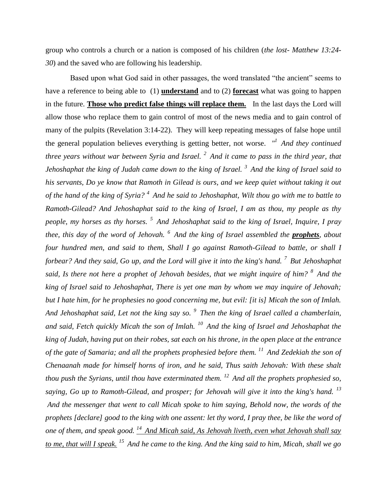group who controls a church or a nation is composed of his children (*the lost- Matthew 13:24- 30*) and the saved who are following his leadership.

Based upon what God said in other passages, the word translated "the ancient" seems to have a reference to being able to (1) **understand** and to (2) **forecast** what was going to happen in the future. **Those who predict false things will replace them.** In the last days the Lord will allow those who replace them to gain control of most of the news media and to gain control of many of the pulpits (Revelation 3:14-22). They will keep repeating messages of false hope until the general population believes everything is getting better, not worse. *" <sup>1</sup>And they continued three years without war between Syria and Israel. <sup>2</sup>And it came to pass in the third year, that Jehoshaphat the king of Judah came down to the king of Israel. <sup>3</sup>And the king of Israel said to his servants, Do ye know that Ramoth in Gilead is ours, and we keep quiet without taking it out of the hand of the king of Syria? <sup>4</sup>And he said to Jehoshaphat, Wilt thou go with me to battle to Ramoth-Gilead? And Jehoshaphat said to the king of Israel, I am as thou, my people as thy people, my horses as thy horses. <sup>5</sup>And Jehoshaphat said to the king of Israel, Inquire, I pray thee, this day of the word of Jehovah. <sup>6</sup>And the king of Israel assembled the prophets, about four hundred men, and said to them, Shall I go against Ramoth-Gilead to battle, or shall I forbear? And they said, Go up, and the Lord will give it into the king's hand. <sup>7</sup>But Jehoshaphat said, Is there not here a prophet of Jehovah besides, that we might inquire of him? <sup>8</sup>And the king of Israel said to Jehoshaphat, There is yet one man by whom we may inquire of Jehovah; but I hate him, for he prophesies no good concerning me, but evil: [it is] Micah the son of Imlah. And Jehoshaphat said, Let not the king say so. <sup>9</sup>Then the king of Israel called a chamberlain, and said, Fetch quickly Micah the son of Imlah. <sup>10</sup>And the king of Israel and Jehoshaphat the king of Judah, having put on their robes, sat each on his throne, in the open place at the entrance of the gate of Samaria; and all the prophets prophesied before them. <sup>11</sup>And Zedekiah the son of Chenaanah made for himself horns of iron, and he said, Thus saith Jehovah: With these shalt thou push the Syrians, until thou have exterminated them. <sup>12</sup>And all the prophets prophesied so, saying, Go up to Ramoth-Gilead, and prosper; for Jehovah will give it into the king's hand. <sup>13</sup> And the messenger that went to call Micah spoke to him saying, Behold now, the words of the prophets [declare] good to the king with one assent: let thy word, I pray thee, be like the word of one of them, and speak good. <sup>14</sup>And Micah said, As Jehovah liveth, even what Jehovah shall say to me, that will I speak. <sup>15</sup>And he came to the king. And the king said to him, Micah, shall we go*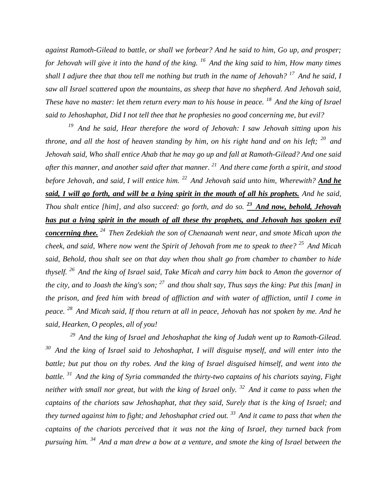*against Ramoth-Gilead to battle, or shall we forbear? And he said to him, Go up, and prosper; for Jehovah will give it into the hand of the king. <sup>16</sup>And the king said to him, How many times shall I adjure thee that thou tell me nothing but truth in the name of Jehovah? <sup>17</sup>And he said, I saw all Israel scattered upon the mountains, as sheep that have no shepherd. And Jehovah said, These have no master: let them return every man to his house in peace.* <sup>18</sup> And the king of Israel *said to Jehoshaphat, Did I not tell thee that he prophesies no good concerning me, but evil?* 

*<sup>19</sup>And he said, Hear therefore the word of Jehovah: I saw Jehovah sitting upon his throne, and all the host of heaven standing by him, on his right hand and on his left; <sup>20</sup>and Jehovah said, Who shall entice Ahab that he may go up and fall at Ramoth-Gilead? And one said after this manner, and another said after that manner. <sup>21</sup>And there came forth a spirit, and stood before Jehovah, and said, I will entice him. <sup>22</sup>And Jehovah said unto him, Wherewith? And he said, I will go forth, and will be a lying spirit in the mouth of all his prophets. And he said, Thou shalt entice [him], and also succeed: go forth, and do so.* <sup>23</sup> And now, behold, Jehovah *has put a lying spirit in the mouth of all these thy prophets, and Jehovah has spoken evil concerning thee. <sup>24</sup>Then Zedekiah the son of Chenaanah went near, and smote Micah upon the cheek, and said, Where now went the Spirit of Jehovah from me to speak to thee? <sup>25</sup>And Micah said, Behold, thou shalt see on that day when thou shalt go from chamber to chamber to hide thyself. <sup>26</sup>And the king of Israel said, Take Micah and carry him back to Amon the governor of the city, and to Joash the king's son; <sup>27</sup>and thou shalt say, Thus says the king: Put this [man] in the prison, and feed him with bread of affliction and with water of affliction, until I come in peace. <sup>28</sup>And Micah said, If thou return at all in peace, Jehovah has not spoken by me. And he said, Hearken, O peoples, all of you!*

*<sup>29</sup>And the king of Israel and Jehoshaphat the king of Judah went up to Ramoth-Gilead. <sup>30</sup>And the king of Israel said to Jehoshaphat, I will disguise myself, and will enter into the battle; but put thou on thy robes. And the king of Israel disguised himself, and went into the battle. <sup>31</sup>And the king of Syria commanded the thirty-two captains of his chariots saying, Fight neither with small nor great, but with the king of Israel only. <sup>32</sup>And it came to pass when the captains of the chariots saw Jehoshaphat, that they said, Surely that is the king of Israel; and they turned against him to fight; and Jehoshaphat cried out. <sup>33</sup>And it came to pass that when the captains of the chariots perceived that it was not the king of Israel, they turned back from pursuing him. <sup>34</sup>And a man drew a bow at a venture, and smote the king of Israel between the*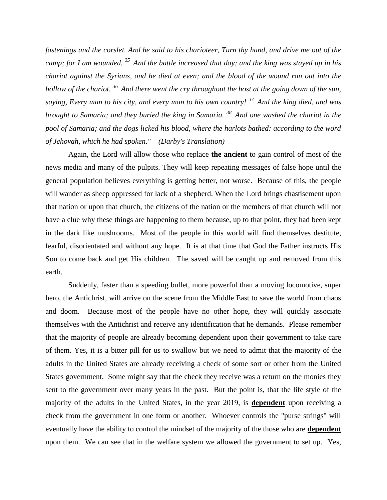*fastenings and the corslet. And he said to his charioteer, Turn thy hand, and drive me out of the camp; for I am wounded. <sup>35</sup>And the battle increased that day; and the king was stayed up in his chariot against the Syrians, and he died at even; and the blood of the wound ran out into the hollow of the chariot. <sup>36</sup>And there went the cry throughout the host at the going down of the sun, saying, Every man to his city, and every man to his own country! <sup>37</sup>And the king died, and was brought to Samaria; and they buried the king in Samaria. <sup>38</sup>And one washed the chariot in the pool of Samaria; and the dogs licked his blood, where the harlots bathed: according to the word of Jehovah, which he had spoken." (Darby's Translation)*

Again, the Lord will allow those who replace **the ancient** to gain control of most of the news media and many of the pulpits. They will keep repeating messages of false hope until the general population believes everything is getting better, not worse. Because of this, the people will wander as sheep oppressed for lack of a shepherd. When the Lord brings chastisement upon that nation or upon that church, the citizens of the nation or the members of that church will not have a clue why these things are happening to them because, up to that point, they had been kept in the dark like mushrooms. Most of the people in this world will find themselves destitute, fearful, disorientated and without any hope. It is at that time that God the Father instructs His Son to come back and get His children. The saved will be caught up and removed from this earth.

Suddenly, faster than a speeding bullet, more powerful than a moving locomotive, super hero, the Antichrist, will arrive on the scene from the Middle East to save the world from chaos and doom. Because most of the people have no other hope, they will quickly associate themselves with the Antichrist and receive any identification that he demands. Please remember that the majority of people are already becoming dependent upon their government to take care of them. Yes, it is a bitter pill for us to swallow but we need to admit that the majority of the adults in the United States are already receiving a check of some sort or other from the United States government. Some might say that the check they receive was a return on the monies they sent to the government over many years in the past. But the point is, that the life style of the majority of the adults in the United States, in the year 2019, is **dependent** upon receiving a check from the government in one form or another. Whoever controls the "purse strings" will eventually have the ability to control the mindset of the majority of the those who are **dependent** upon them. We can see that in the welfare system we allowed the government to set up. Yes,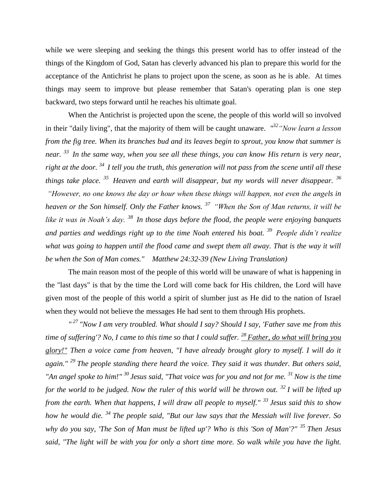while we were sleeping and seeking the things this present world has to offer instead of the things of the Kingdom of God, Satan has cleverly advanced his plan to prepare this world for the acceptance of the Antichrist he plans to project upon the scene, as soon as he is able. At times things may seem to improve but please remember that Satan's operating plan is one step backward, two steps forward until he reaches his ultimate goal.

When the Antichrist is projected upon the scene, the people of this world will so involved in their "daily living", that the majority of them will be caught unaware. *" <sup>32</sup>"Now learn a lesson from the fig tree. When its branches bud and its leaves begin to sprout, you know that summer is near. <sup>33</sup>In the same way, when you see all these things, you can know His return is very near, right at the door. <sup>34</sup>I tell you the truth, this generation will not pass from the scene until all these things take place. <sup>35</sup>Heaven and earth will disappear, but my words will never disappear. <sup>36</sup> "However, no one knows the day or hour when these things will happen, not even the angels in heaven or the Son himself. Only the Father knows. <sup>37</sup>"When the Son of Man returns, it will be like it was in Noah's day. <sup>38</sup>In those days before the flood, the people were enjoying banquets and parties and weddings right up to the time Noah entered his boat. <sup>39</sup>People didn't realize*  what was going to happen until the flood came and swept them all away. That is the way it will *be when the Son of Man comes." Matthew 24:32-39 (New Living Translation)*

The main reason most of the people of this world will be unaware of what is happening in the "last days" is that by the time the Lord will come back for His children, the Lord will have given most of the people of this world a spirit of slumber just as He did to the nation of Israel when they would not believe the messages He had sent to them through His prophets.

*" <sup>27</sup>"Now I am very troubled. What should I say? Should I say, 'Father save me from this time of suffering'? No, I came to this time so that I could suffer. <sup>28</sup>Father, do what will bring you glory!" Then a voice came from heaven, "I have already brought glory to myself. I will do it again." <sup>29</sup>The people standing there heard the voice. They said it was thunder. But others said, "An angel spoke to him!" <sup>30</sup>Jesus said, "That voice was for you and not for me. <sup>31</sup>Now is the time for the world to be judged. Now the ruler of this world will be thrown out. <sup>32</sup>I will be lifted up from the earth. When that happens, I will draw all people to myself." <sup>33</sup>Jesus said this to show how he would die. <sup>34</sup>The people said, "But our law says that the Messiah will live forever. So why do you say, 'The Son of Man must be lifted up'? Who is this 'Son of Man'?" <sup>35</sup>Then Jesus said, "The light will be with you for only a short time more. So walk while you have the light.*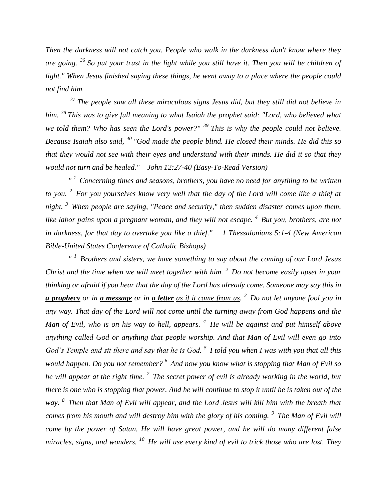*Then the darkness will not catch you. People who walk in the darkness don't know where they are going. <sup>36</sup>So put your trust in the light while you still have it. Then you will be children of light." When Jesus finished saying these things, he went away to a place where the people could not find him.*

*<sup>37</sup>The people saw all these miraculous signs Jesus did, but they still did not believe in him. <sup>38</sup>This was to give full meaning to what Isaiah the prophet said: "Lord, who believed what we told them? Who has seen the Lord's power?" <sup>39</sup>This is why the people could not believe. Because Isaiah also said, <sup>40</sup>"God made the people blind. He closed their minds. He did this so that they would not see with their eyes and understand with their minds. He did it so that they would not turn and be healed." John 12:27-40 (Easy-To-Read Version)*

*" <sup>1</sup>Concerning times and seasons, brothers, you have no need for anything to be written to you. <sup>2</sup>For you yourselves know very well that the day of the Lord will come like a thief at night. <sup>3</sup>When people are saying, "Peace and security," then sudden disaster comes upon them, like labor pains upon a pregnant woman, and they will not escape. <sup>4</sup>But you, brothers, are not in darkness, for that day to overtake you like a thief." 1 Thessalonians 5:1-4 (New American Bible-United States Conference of Catholic Bishops)*

*" <sup>1</sup>Brothers and sisters, we have something to say about the coming of our Lord Jesus Christ and the time when we will meet together with him. <sup>2</sup>Do not become easily upset in your thinking or afraid if you hear that the day of the Lord has already come. Someone may say this in a prophecy or in a message or in a letter as if it came from us. <sup>3</sup>Do not let anyone fool you in any way. That day of the Lord will not come until the turning away from God happens and the Man of Evil, who is on his way to hell, appears. <sup>4</sup>He will be against and put himself above anything called God or anything that people worship. And that Man of Evil will even go into God's Temple and sit there and say that he is God. <sup>5</sup>I told you when I was with you that all this would happen. Do you not remember? <sup>6</sup>And now you know what is stopping that Man of Evil so he will appear at the right time. <sup>7</sup>The secret power of evil is already working in the world, but there is one who is stopping that power. And he will continue to stop it until he is taken out of the way. <sup>8</sup>Then that Man of Evil will appear, and the Lord Jesus will kill him with the breath that comes from his mouth and will destroy him with the glory of his coming. <sup>9</sup>The Man of Evil will come by the power of Satan. He will have great power, and he will do many different false miracles, signs, and wonders. <sup>10</sup>He will use every kind of evil to trick those who are lost. They*